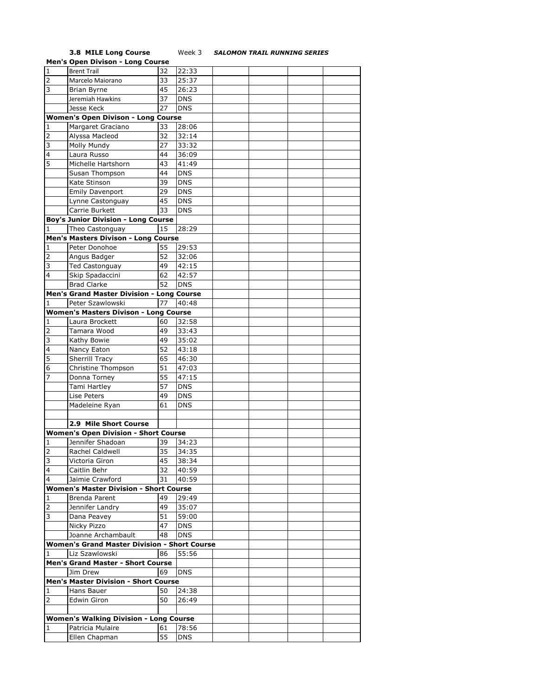## **3.8 MILE Long Course** Week 3 *SALOMON TRAIL RUNNING SERIES*

|                | <b>Men's Open Divison - Long Course</b>             |    |            |  |  |
|----------------|-----------------------------------------------------|----|------------|--|--|
| $\mathbf{1}$   | <b>Brent Trail</b>                                  | 32 | 22:33      |  |  |
| $\overline{2}$ | Marcelo Maiorano                                    | 33 | 25:37      |  |  |
| 3              | Brian Byrne                                         | 45 | 26:23      |  |  |
|                | Jeremiah Hawkins                                    | 37 | <b>DNS</b> |  |  |
|                |                                                     |    |            |  |  |
|                | Jesse Keck                                          | 27 | <b>DNS</b> |  |  |
|                | <b>Women's Open Divison - Long Course</b>           |    |            |  |  |
| 1              | Margaret Graciano                                   | 33 | 28:06      |  |  |
| 2              | Alyssa Macleod                                      | 32 | 32:14      |  |  |
| 3              | Molly Mundy                                         | 27 | 33:32      |  |  |
| $\overline{4}$ | Laura Russo                                         | 44 | 36:09      |  |  |
| 5              | Michelle Hartshorn                                  | 43 | 41:49      |  |  |
|                | Susan Thompson                                      | 44 | <b>DNS</b> |  |  |
|                | Kate Stinson                                        | 39 | <b>DNS</b> |  |  |
|                | Emily Davenport                                     | 29 | <b>DNS</b> |  |  |
|                | Lynne Castonguay                                    | 45 | <b>DNS</b> |  |  |
|                | Carrie Burkett                                      | 33 | <b>DNS</b> |  |  |
|                |                                                     |    |            |  |  |
|                | <b>Boy's Junior Division - Long Course</b>          |    |            |  |  |
| 1              | Theo Castonguay                                     | 15 | 28:29      |  |  |
|                | Men's Masters Divison - Long Course                 |    |            |  |  |
| 1              | Peter Donohoe                                       | 55 | 29:53      |  |  |
| 2              | Angus Badger                                        | 52 | 32:06      |  |  |
| 3              | Ted Castonguay                                      | 49 | 42:15      |  |  |
| 4              | Skip Spadaccini                                     | 62 | 42:57      |  |  |
|                | <b>Brad Clarke</b>                                  | 52 | <b>DNS</b> |  |  |
|                | Men's Grand Master Division - Long Course           |    |            |  |  |
| 1              | Peter Szawlowski                                    | 77 | 40:48      |  |  |
|                | <b>Women's Masters Divison - Long Course</b>        |    |            |  |  |
| 1              | Laura Brockett                                      | 60 | 32:58      |  |  |
| $\overline{2}$ | Tamara Wood                                         | 49 | 33:43      |  |  |
| 3              | Kathy Bowie                                         | 49 | 35:02      |  |  |
| 4              |                                                     | 52 | 43:18      |  |  |
| 5              | Nancy Eaton                                         |    |            |  |  |
|                | Sherrill Tracy                                      | 65 | 46:30      |  |  |
| 6              | Christine Thompson                                  | 51 | 47:03      |  |  |
| 7              | Donna Torney                                        | 55 | 47:15      |  |  |
|                | Tami Hartley                                        | 57 | <b>DNS</b> |  |  |
|                | Lise Peters                                         | 49 | <b>DNS</b> |  |  |
|                | Madeleine Ryan                                      | 61 | <b>DNS</b> |  |  |
|                |                                                     |    |            |  |  |
|                | 2.9 Mile Short Course                               |    |            |  |  |
|                | <b>Women's Open Division - Short Course</b>         |    |            |  |  |
| 1              | Jennifer Shadoan                                    | 39 | 34:23      |  |  |
| $\overline{z}$ | Rachel Caldwell                                     | 35 | 34:35      |  |  |
| 3              | Victoria Giron                                      | 45 | 38:34      |  |  |
| 4              | Caitlin Behr                                        | 32 | 40:59      |  |  |
| 4              | Jaimie Crawford                                     | 31 | 40:59      |  |  |
|                | <b>Women's Master Division - Short Course</b>       |    |            |  |  |
| 1              | Brenda Parent                                       | 49 | 29:49      |  |  |
| $\overline{2}$ | Jennifer Landry                                     | 49 | 35:07      |  |  |
| 3              |                                                     |    |            |  |  |
|                | Dana Peavey                                         | 51 | 59:00      |  |  |
|                | Nicky Pizzo                                         | 47 | <b>DNS</b> |  |  |
|                | Joanne Archambault                                  | 48 | <b>DNS</b> |  |  |
|                | <b>Women's Grand Master Division - Short Course</b> |    |            |  |  |
| 1              | Liz Szawlowski                                      | 86 | 55:56      |  |  |
|                | <b>Men's Grand Master - Short Course</b>            |    |            |  |  |
|                | Jim Drew                                            | 69 | <b>DNS</b> |  |  |
|                | <b>Men's Master Division - Short Course</b>         |    |            |  |  |
| 1              | Hans Bauer                                          | 50 | 24:38      |  |  |
| $\overline{2}$ | Edwin Giron                                         | 50 | 26:49      |  |  |
|                |                                                     |    |            |  |  |
|                | <b>Women's Walking Division - Long Course</b>       |    |            |  |  |
| 1              | Patricia Mulaire                                    | 61 | 78:56      |  |  |
|                | Ellen Chapman                                       | 55 | <b>DNS</b> |  |  |